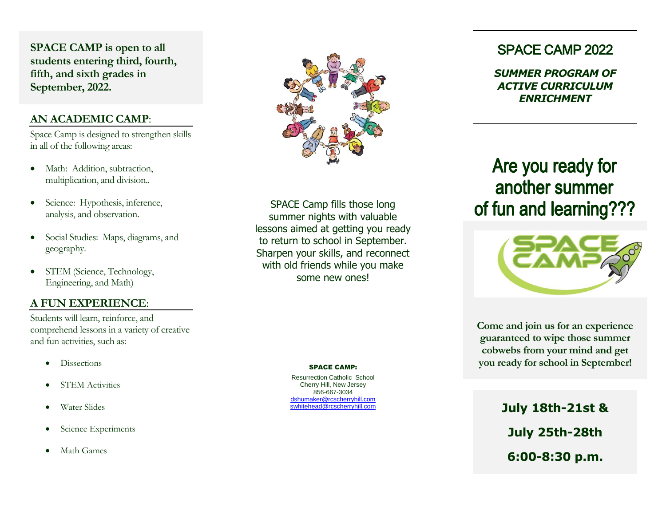**SPACE CAMP is open to all students entering third, fourth, fifth, and sixth grades in September, 2022.**

#### **AN ACADEMIC CAMP**:

Space Camp is designed to strengthen skills in all of the following areas:

- Math: Addition, subtraction, multiplication, and division..
- Science: Hypothesis, inference, analysis, and observation.
- Social Studies: Maps, diagrams, and geography.
- STEM (Science, Technology, Engineering, and Math)

### **A FUN EXPERIENCE**:

Students will learn, reinforce, and comprehend lessons in a variety of creative and fun activities, such as:

- **Dissections**
- STEM Activities
- Water Slides
- Science Experiments
- Math Games



SPACE Camp fills those long summer nights with valuable lessons aimed at getting you ready to return to school in September. Sharpen your skills, and reconnect with old friends while you make some new ones!

#### SPACE CAMP:

Resurrection Catholic School Cherry Hill, New Jersey 856-667-3034 [dshumaker@rcscherryhill.com](mailto:dshumaker@rcscherryhill.com) [swhitehead@rcscherryhill.com](mailto:swhitehead@rcscherryhill.com)

# SPACE CAMP 2022

*SUMMER PROGRAM OF ACTIVE CURRICULUM ENRICHMENT*

Are you ready for another summer



**Come and join us for an experience guaranteed to wipe those summer cobwebs from your mind and get you ready for school in September!**

> **July 18th-21st & July 25th-28th 6:00-8:30 p.m.**